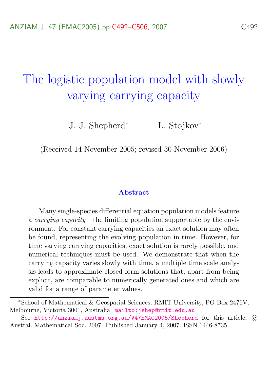# The logistic population model with slowly varying carrying capacity

J. J. Shepherd<sup>∗</sup> L. Stojkov<sup>∗</sup>

(Received 14 November 2005; revised 30 November 2006)

#### Abstract

Many single-species differential equation population models feature a carrying capacity—the limiting population supportable by the environment. For constant carrying capacities an exact solution may often be found, representing the evolving population in time. However, for time varying carrying capacities, exact solution is rarely possible, and numerical techniques must be used. We demonstrate that when the carrying capacity varies slowly with time, a multiple time scale analysis leads to approximate closed form solutions that, apart from being explicit, are comparable to numerically generated ones and which are valid for a range of parameter values.

<sup>∗</sup>School of Mathematical & Geospatial Sciences, RMIT University, PO Box 2476V, Melbourne, Victoria 3001, Australia. mailto: jshep@rmit.edu.au

See <http://anziamj.austms.org.au/V47EMAC2005/Shepherd> for this article, (c) Austral. Mathematical Soc. 2007. Published January 4, 2007. ISSN 1446-8735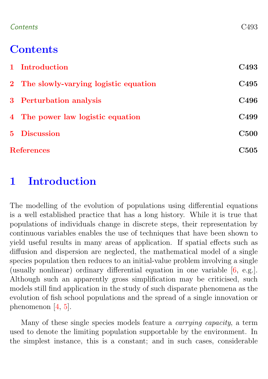### <span id="page-1-1"></span>Contents C493

# **Contents**

|                   | 1 Introduction                         | <b>C493</b>  |
|-------------------|----------------------------------------|--------------|
|                   | 2 The slowly-varying logistic equation | C495         |
|                   | 3 Perturbation analysis                | C496         |
|                   | 4 The power law logistic equation      | C499         |
|                   | 5 Discussion                           | C500         |
| <b>References</b> |                                        | ${\rm C}505$ |

## <span id="page-1-0"></span>1 Introduction

The modelling of the evolution of populations using differential equations is a well established practice that has a long history. While it is true that populations of individuals change in discrete steps, their representation by continuous variables enables the use of techniques that have been shown to yield useful results in many areas of application. If spatial effects such as diffusion and dispersion are neglected, the mathematical model of a single species population then reduces to an initial-value problem involving a single (usually nonlinear) ordinary differential equation in one variable [\[6,](#page-14-0) e.g.]. Although such an apparently gross simplification may be criticised, such models still find application in the study of such disparate phenomena as the evolution of fish school populations and the spread of a single innovation or phenomenon [\[4,](#page-13-1) [5\]](#page-13-2).

Many of these single species models feature a carrying capacity, a term used to denote the limiting population supportable by the environment. In the simplest instance, this is a constant; and in such cases, considerable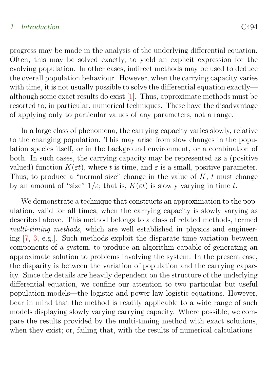#### <span id="page-2-1"></span>1 Introduction C494

progress may be made in the analysis of the underlying differential equation. Often, this may be solved exactly, to yield an explicit expression for the evolving population. In other cases, indirect methods may be used to deduce the overall population behaviour. However, when the carrying capacity varies with time, it is not usually possible to solve the differential equation exactly although some exact results do exist [\[1\]](#page-13-3). Thus, approximate methods must be resorted to; in particular, numerical techniques. These have the disadvantage of applying only to particular values of any parameters, not a range.

In a large class of phenomena, the carrying capacity varies slowly, relative to the changing population. This may arise from slow changes in the population species itself, or in the background environment, or a combination of both. In such cases, the carrying capacity may be represented as a (positive valued) function  $K(\varepsilon t)$ , where t is time, and  $\varepsilon$  is a small, positive parameter. Thus, to produce a "normal size" change in the value of  $K$ ,  $t$  must change by an amount of "size"  $1/\varepsilon$ ; that is,  $K(\varepsilon t)$  is slowly varying in time t.

<span id="page-2-0"></span>We demonstrate a technique that constructs an approximation to the population, valid for all times, when the carrying capacity is slowly varying as described above. This method belongs to a class of related methods, termed multi-timing methods, which are well established in physics and engineering [\[7,](#page-14-1) [3,](#page-13-4) e.g.]. Such methods exploit the disparate time variation between components of a system, to produce an algorithm capable of generating an approximate solution to problems involving the system. In the present case, the disparity is between the variation of population and the carrying capacity. Since the details are heavily dependent on the structure of the underlying differential equation, we confine our attention to two particular but useful population models—the logistic and power law logistic equations. However, bear in mind that the method is readily applicable to a wide range of such models displaying slowly varying carrying capacity. Where possible, we compare the results provided by the multi-timing method with exact solutions, when they exist; or, failing that, with the results of numerical calculations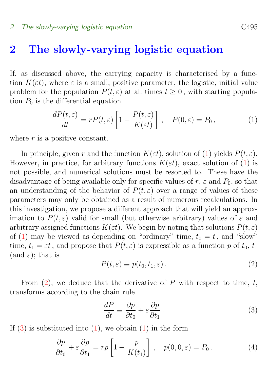# 2 The slowly-varying logistic equation

If, as discussed above, the carrying capacity is characterised by a function  $K(\varepsilon t)$ , where  $\varepsilon$  is a small, positive parameter, the logistic, initial value problem for the population  $P(t, \varepsilon)$  at all times  $t > 0$ , with starting population  $P_0$  is the differential equation

<span id="page-3-0"></span>
$$
\frac{dP(t,\varepsilon)}{dt} = rP(t,\varepsilon) \left[ 1 - \frac{P(t,\varepsilon)}{K(\varepsilon t)} \right], \quad P(0,\varepsilon) = P_0,
$$
\n(1)

where  $r$  is a positive constant.

In principle, given r and the function  $K(\varepsilon t)$ , solution of [\(1\)](#page-3-0) yields  $P(t, \varepsilon)$ . However, in practice, for arbitrary functions  $K(\varepsilon t)$ , exact solution of [\(1\)](#page-3-0) is not possible, and numerical solutions must be resorted to. These have the disadvantage of being available only for specific values of r,  $\varepsilon$  and  $P_0$ , so that an understanding of the behavior of  $P(t, \varepsilon)$  over a range of values of these parameters may only be obtained as a result of numerous recalculations. In this investigation, we propose a different approach that will yield an approximation to  $P(t,\varepsilon)$  valid for small (but otherwise arbitrary) values of  $\varepsilon$  and arbitrary assigned functions  $K(\varepsilon t)$ . We begin by noting that solutions  $P(t, \varepsilon)$ of [\(1\)](#page-3-0) may be viewed as depending on "ordinary" time,  $t_0 = t$ , and "slow" time,  $t_1 = \varepsilon t$ , and propose that  $P(t, \varepsilon)$  is expressible as a function p of  $t_0, t_1$ (and  $\varepsilon$ ); that is

<span id="page-3-1"></span>
$$
P(t,\varepsilon) \equiv p(t_0, t_1, \varepsilon). \tag{2}
$$

From  $(2)$ , we deduce that the derivative of P with respect to time, t, transforms according to the chain rule

<span id="page-3-2"></span>
$$
\frac{dP}{dt} \equiv \frac{\partial p}{\partial t_0} + \varepsilon \frac{\partial p}{\partial t_1}.
$$
\n(3)

If  $(3)$  is substituted into  $(1)$ , we obtain  $(1)$  in the form

<span id="page-3-3"></span>
$$
\frac{\partial p}{\partial t_0} + \varepsilon \frac{\partial p}{\partial t_1} = rp \left[ 1 - \frac{p}{K(t_1)} \right], \quad p(0, 0, \varepsilon) = P_0. \tag{4}
$$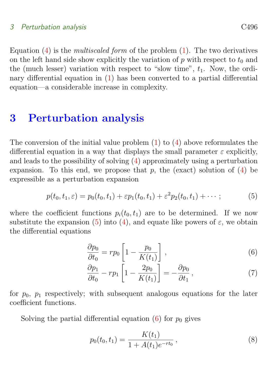### 3 Perturbation analysis C<sub>496</sub>

Equation  $(4)$  is the *multiscaled form* of the problem  $(1)$ . The two derivatives on the left hand side show explicitly the variation of p with respect to  $t_0$  and the (much lesser) variation with respect to "slow time",  $t_1$ . Now, the ordinary differential equation in [\(1\)](#page-3-0) has been converted to a partial differential equation—a considerable increase in complexity.

### <span id="page-4-0"></span>3 Perturbation analysis

The conversion of the initial value problem  $(1)$  to  $(4)$  above reformulates the differential equation in a way that displays the small parameter  $\varepsilon$  explicitly, and leads to the possibility of solving [\(4\)](#page-3-3) approximately using a perturbation expansion. To this end, we propose that p, the (exact) solution of  $(4)$  be expressible as a perturbation expansion

<span id="page-4-1"></span>
$$
p(t_0, t_1, \varepsilon) = p_0(t_0, t_1) + \varepsilon p_1(t_0, t_1) + \varepsilon^2 p_2(t_0, t_1) + \cdots; \tag{5}
$$

where the coefficient functions  $p_i(t_0, t_1)$  are to be determined. If we now substitute the expansion [\(5\)](#page-4-1) into [\(4\)](#page-3-3), and equate like powers of  $\varepsilon$ , we obtain the differential equations

$$
\frac{\partial p_0}{\partial t_0} = rp_0 \left[ 1 - \frac{p_0}{K(t_1)} \right],\tag{6}
$$

<span id="page-4-2"></span>
$$
\frac{\partial p_1}{\partial t_0} - rp_1 \left[ 1 - \frac{2p_0}{K(t_1)} \right] = -\frac{\partial p_0}{\partial t_1},\tag{7}
$$

for  $p_0$ ,  $p_1$  respectively; with subsequent analogous equations for the later coefficient functions.

Solving the partial differential equation  $(6)$  for  $p_0$  gives

<span id="page-4-3"></span>
$$
p_0(t_0, t_1) = \frac{K(t_1)}{1 + A(t_1)e^{-rt_0}},
$$
\n(8)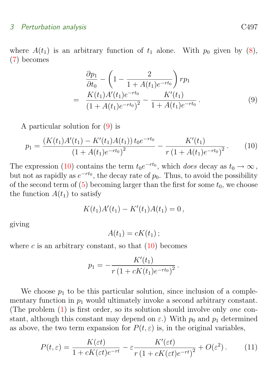### 3 Perturbation analysis CA97

where  $A(t_1)$  is an arbitrary function of  $t_1$  alone. With  $p_0$  given by [\(8\)](#page-4-3), [\(7\)](#page-4-2) becomes

<span id="page-5-0"></span>
$$
\frac{\partial p_1}{\partial t_0} - \left(1 - \frac{2}{1 + A(t_1)e^{-rt_0}}\right)rp_1
$$
\n
$$
= \frac{K(t_1)A'(t_1)e^{-rt_0}}{\left(1 + A(t_1)e^{-rt_0}\right)^2} - \frac{K'(t_1)}{1 + A(t_1)e^{-rt_0}}.
$$
\n(9)

A particular solution for [\(9\)](#page-5-0) is

<span id="page-5-1"></span>
$$
p_1 = \frac{(K(t_1)A'(t_1) - K'(t_1)A(t_1))t_0e^{-rt_0}}{(1 + A(t_1)e^{-rt_0})^2} - \frac{K'(t_1)}{r(1 + A(t_1)e^{-rt_0})^2}.
$$
 (10)

The expression [\(10\)](#page-5-1) contains the term  $t_0e^{-rt_0}$ , which does decay as  $t_0 \to \infty$ , but not as rapidly as  $e^{-rt_0}$ , the decay rate of  $p_0$ . Thus, to avoid the possibility of the second term of  $(5)$  becoming larger than the first for some  $t_0$ , we choose the function  $A(t_1)$  to satisfy

<span id="page-5-2"></span>
$$
K(t_1)A'(t_1) - K'(t_1)A(t_1) = 0,
$$

giving

 $A(t_1) = cK(t_1);$ 

where c is an arbitrary constant, so that  $(10)$  becomes

$$
p_1 = -\frac{K'(t_1)}{r(1 + cK(t_1)e^{-rt_0})^2}.
$$

We choose  $p_1$  to be this particular solution, since inclusion of a complementary function in  $p_1$  would ultimately invoke a second arbitrary constant. (The problem  $(1)$  is first order, so its solution should involve only *one* constant, although this constant may depend on  $\varepsilon$ .) With  $p_0$  and  $p_1$  determined as above, the two term expansion for  $P(t, \varepsilon)$  is, in the original variables,

$$
P(t,\varepsilon) = \frac{K(\varepsilon t)}{1 + cK(\varepsilon t)e^{-rt}} - \varepsilon \frac{K'(\varepsilon t)}{r\left(1 + cK(\varepsilon t)e^{-rt}\right)^2} + O(\varepsilon^2). \tag{11}
$$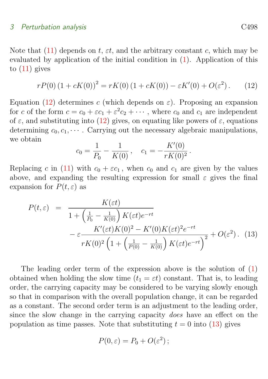### 3 Perturbation analysis CA98

Note that  $(11)$  depends on t,  $\varepsilon t$ , and the arbitrary constant c, which may be evaluated by application of the initial condition in [\(1\)](#page-3-0). Application of this to  $(11)$  gives

<span id="page-6-0"></span>
$$
rP(0) (1 + cK(0))^{2} = rK(0) (1 + cK(0)) - \varepsilon K'(0) + O(\varepsilon^{2}).
$$
 (12)

Equation [\(12\)](#page-6-0) determines c (which depends on  $\varepsilon$ ). Proposing an expansion for c of the form  $c = c_0 + \varepsilon c_1 + \varepsilon^2 c_2 + \cdots$ , where  $c_0$  and  $c_1$  are independent of  $\varepsilon$ , and substituting into [\(12\)](#page-6-0) gives, on equating like powers of  $\varepsilon$ , equations determining  $c_0, c_1, \cdots$ . Carrying out the necessary algebraic manipulations, we obtain

$$
c_0 = \frac{1}{P_0} - \frac{1}{K(0)}, \quad c_1 = -\frac{K'(0)}{rK(0)^2}.
$$

Replacing c in [\(11\)](#page-5-2) with  $c_0 + \varepsilon c_1$ , when  $c_0$  and  $c_1$  are given by the values above, and expanding the resulting expression for small  $\varepsilon$  gives the final expansion for  $P(t, \varepsilon)$  as

<span id="page-6-1"></span>
$$
P(t,\varepsilon) = \frac{K(\varepsilon t)}{1 + \left(\frac{1}{P_0} - \frac{1}{K(0)}\right)K(\varepsilon t)e^{-rt}}
$$

$$
- \varepsilon \frac{K'(\varepsilon t)K(0)^2 - K'(0)K(\varepsilon t)^2e^{-rt}}{rK(0)^2 \left(1 + \left(\frac{1}{P(0)} - \frac{1}{K(0)}\right)K(\varepsilon t)e^{-rt}\right)^2} + O(\varepsilon^2). \quad (13)
$$

The leading order term of the expression above is the solution of  $(1)$ obtained when holding the slow time  $(t_1 = \varepsilon t)$  constant. That is, to leading order, the carrying capacity may be considered to be varying slowly enough so that in comparison with the overall population change, it can be regarded as a constant. The second order term is an adjustment to the leading order, since the slow change in the carrying capacity does have an effect on the population as time passes. Note that substituting  $t = 0$  into [\(13\)](#page-6-1) gives

<span id="page-6-2"></span>
$$
P(0,\varepsilon) = P_0 + O(\varepsilon^2);
$$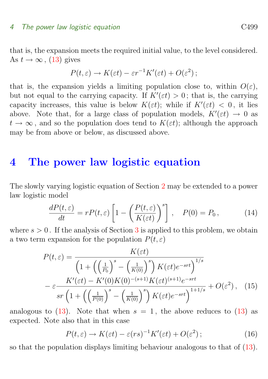#### 4 The power law logistic equation C499

that is, the expansion meets the required initial value, to the level considered. As  $t \to \infty$ , [\(13\)](#page-6-1) gives

$$
P(t,\varepsilon) \to K(\varepsilon t) - \varepsilon r^{-1} K'(\varepsilon t) + O(\varepsilon^2);
$$

that is, the expansion yields a limiting population close to, within  $O(\varepsilon)$ , but not equal to the carrying capacity. If  $K'(\varepsilon t) > 0$ ; that is, the carrying capacity increases, this value is below  $K(\varepsilon t)$ ; while if  $K'(\varepsilon t) < 0$ , it lies above. Note that, for a large class of population models,  $K'(\varepsilon t) \to 0$  as  $t \to \infty$ , and so the population does tend to  $K(\varepsilon t)$ ; although the approach may be from above or below, as discussed above.

### <span id="page-7-0"></span>4 The power law logistic equation

The slowly varying logistic equation of Section [2](#page-2-0) may be extended to a power law logistic model

$$
\frac{dP(t,\varepsilon)}{dt} = rP(t,\varepsilon) \left[ 1 - \left( \frac{P(t,\varepsilon)}{K(\varepsilon t)} \right)^s \right], \quad P(0) = P_0,
$$
\n(14)

where  $s > 0$ . If the analysis of Section [3](#page-4-0) is applied to this problem, we obtain a two term expansion for the population  $P(t, \varepsilon)$ 

<span id="page-7-1"></span>
$$
P(t,\varepsilon) = \frac{K(\varepsilon t)}{\left(1 + \left(\left(\frac{1}{P_0}\right)^s - \left(\frac{1}{K(0)}\right)^s\right)K(\varepsilon t)e^{-srt}\right)^{1/s}}
$$

$$
-\varepsilon \frac{K'(\varepsilon t) - K'(0)K(0)^{-(s+1)}K(\varepsilon t)^{(s+1)}e^{-srt}}{sr\left(1 + \left(\left(\frac{1}{P(0)}\right)^s - \left(\frac{1}{K(0)}\right)^s\right)K(\varepsilon t)e^{-srt}\right)^{1+1/s}} + O(\varepsilon^2), \quad (15)
$$

analogous to  $(13)$ . Note that when  $s = 1$ , the above reduces to  $(13)$  as expected. Note also that in this case

$$
P(t,\varepsilon) \to K(\varepsilon t) - \varepsilon(rs)^{-1}K'(\varepsilon t) + O(\varepsilon^2); \tag{16}
$$

so that the population displays limiting behaviour analogous to that of [\(13\)](#page-6-1).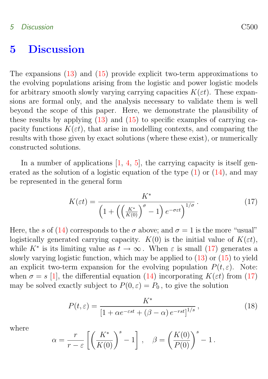### <span id="page-8-4"></span><span id="page-8-0"></span>5 Discussion

The expansions [\(13\)](#page-6-1) and [\(15\)](#page-7-1) provide explicit two-term approximations to the evolving populations arising from the logistic and power logistic models for arbitrary smooth slowly varying carrying capacities  $K(\varepsilon t)$ . These expansions are formal only, and the analysis necessary to validate them is well beyond the scope of this paper. Here, we demonstrate the plausibility of these results by applying [\(13\)](#page-6-1) and [\(15\)](#page-7-1) to specific examples of carrying capacity functions  $K(\varepsilon t)$ , that arise in modelling contexts, and comparing the results with those given by exact solutions (where these exist), or numerically constructed solutions.

In a number of applications  $[1, 4, 5]$  $[1, 4, 5]$  $[1, 4, 5]$  $[1, 4, 5]$  $[1, 4, 5]$ , the carrying capacity is itself generated as the solution of a logistic equation of the type  $(1)$  or  $(14)$ , and may be represented in the general form

<span id="page-8-1"></span>
$$
K(\varepsilon t) = \frac{K^*}{\left(1 + \left(\left(\frac{K^*}{K(0)}\right)^\sigma - 1\right)e^{-\sigma \varepsilon t}\right)^{1/\sigma}}.
$$
\n(17)

Here, the s of [\(14\)](#page-6-2) corresponds to the  $\sigma$  above; and  $\sigma = 1$  is the more "usual" logistically generated carrying capacity.  $K(0)$  is the initial value of  $K(\varepsilon t)$ , while  $K^*$  is its limiting value as  $t \to \infty$ . When  $\varepsilon$  is small [\(17\)](#page-8-1) generates a slowly varying logistic function, which may be applied to [\(13\)](#page-6-1) or [\(15\)](#page-7-1) to yield an explicit two-term expansion for the evolving population  $P(t, \varepsilon)$ . Note: when  $\sigma = s$  [\[1\]](#page-13-3), the differential equation [\(14\)](#page-6-2) incorporating  $K(\varepsilon t)$  from [\(17\)](#page-8-1) may be solved exactly subject to  $P(0, \varepsilon) = P_0$ , to give the solution

<span id="page-8-2"></span>
$$
P(t,\varepsilon) = \frac{K^*}{\left[1 + \alpha e^{-\varepsilon st} + (\beta - \alpha) e^{-rst}\right]^{1/s}},\tag{18}
$$

where

<span id="page-8-3"></span>
$$
\alpha = \frac{r}{r - \varepsilon} \left[ \left( \frac{K^*}{K(0)} \right)^s - 1 \right], \quad \beta = \left( \frac{K(0)}{P(0)} \right)^s - 1.
$$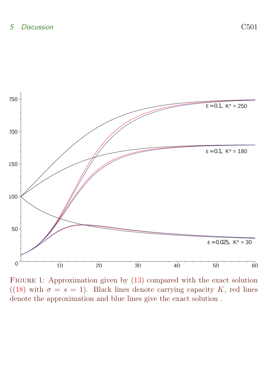

<span id="page-9-0"></span>FIGURE 1: Approximation given by  $(13)$  compared with the exact solution ([\(18\)](#page-8-2) with  $\sigma = s = 1$ ). Black lines denote carrying capacity K, red lines denote the approximation and blue lines give the exact solution .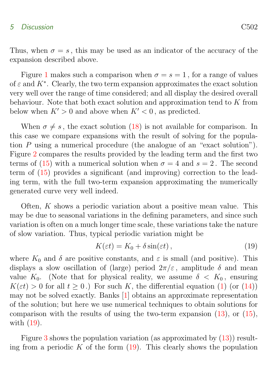### <span id="page-10-0"></span>5 Discussion C502

Thus, when  $\sigma = s$ , this may be used as an indicator of the accuracy of the expansion described above.

Figure [1](#page-9-0) makes such a comparison when  $\sigma = s = 1$ , for a range of values of  $\varepsilon$  and  $K^*$ . Clearly, the two term expansion approximates the exact solution very well over the range of time considered; and all display the desired overall behaviour. Note that both exact solution and approximation tend to K from below when  $K' > 0$  and above when  $K' < 0$ , as predicted.

When  $\sigma \neq s$ , the exact solution [\(18\)](#page-8-2) is not available for comparison. In this case we compare expansions with the result of solving for the population P using a numerical procedure (the analogue of an "exact solution"). Figure [2](#page-11-0) compares the results provided by the leading term and the first two terms of [\(15\)](#page-7-1) with a numerical solution when  $\sigma = 4$  and  $s = 2$ . The second term of [\(15\)](#page-7-1) provides a significant (and improving) correction to the leading term, with the full two-term expansion approximating the numerically generated curve very well indeed.

Often, K shows a periodic variation about a positive mean value. This may be due to seasonal variations in the defining parameters, and since such variation is often on a much longer time scale, these variations take the nature of slow variation. Thus, typical periodic variation might be

$$
K(\varepsilon t) = K_0 + \delta \sin(\varepsilon t), \qquad (19)
$$

where  $K_0$  and  $\delta$  are positive constants, and  $\varepsilon$  is small (and positive). This displays a slow oscillation of (large) period  $2\pi/\varepsilon$ , amplitude  $\delta$  and mean value  $K_0$ . (Note that for physical reality, we assume  $\delta < K_0$ , ensuring  $K(\varepsilon t) > 0$  for all  $t > 0$ .) For such K, the differential equation [\(1\)](#page-3-0) (or [\(14\)](#page-6-2)) may not be solved exactly. Banks [\[1\]](#page-13-3) obtains an approximate representation of the solution; but here we use numerical techniques to obtain solutions for comparison with the results of using the two-term expansion  $(13)$ , or  $(15)$ , with [\(19\)](#page-8-3).

Figure [3](#page-12-0) shows the population variation (as approximated by [\(13\)](#page-6-1)) resulting from a periodic  $K$  of the form  $(19)$ . This clearly shows the population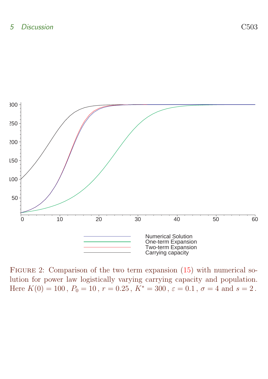

<span id="page-11-0"></span>FIGURE 2: Comparison of the two term expansion [\(15\)](#page-7-1) with numerical solution for power law logistically varying carrying capacity and population. Here  $K(0) = 100$ ,  $P_0 = 10$ ,  $r = 0.25$ ,  $K^* = 300$ ,  $\varepsilon = 0.1$ ,  $\sigma = 4$  and  $s = 2$ .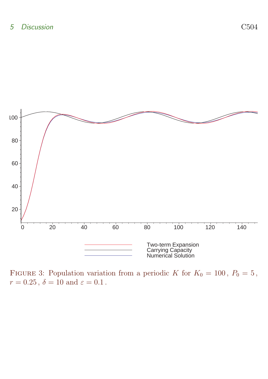

<span id="page-12-0"></span>FIGURE 3: Population variation from a periodic K for  $K_0 = 100$ ,  $P_0 = 5$ ,  $r = 0.25$ ,  $\delta = 10$  and  $\varepsilon = 0.1$ .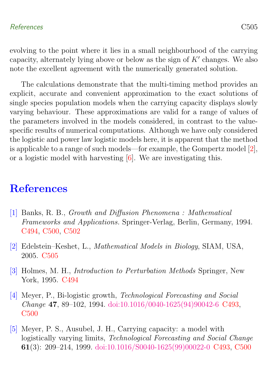<span id="page-13-6"></span>evolving to the point where it lies in a small neighbourhood of the carrying capacity, alternately lying above or below as the sign of  $K'$  changes. We also note the excellent agreement with the numerically generated solution.

The calculations demonstrate that the multi-timing method provides an explicit, accurate and convenient approximation to the exact solutions of single species population models when the carrying capacity displays slowly varying behaviour. These approximations are valid for a range of values of the parameters involved in the models considered, in contrast to the valuespecific results of numerical computations. Although we have only considered the logistic and power law logistic models here, it is apparent that the method is applicable to a range of such models—for example, the Gompertz model [\[2\]](#page-13-5), or a logistic model with harvesting [\[6\]](#page-14-0). We are investigating this.

# **References**

- <span id="page-13-3"></span><span id="page-13-0"></span>[1] Banks, R. B., Growth and Diffusion Phenomena : Mathematical Frameworks and Applications. Springer-Verlag, Berlin, Germany, 1994. [C494,](#page-2-1) [C500,](#page-8-4) [C502](#page-10-0)
- <span id="page-13-5"></span>[2] Edelstein–Keshet, L., Mathematical Models in Biology, SIAM, USA, 2005. [C505](#page-13-6)
- <span id="page-13-4"></span>[3] Holmes, M. H., Introduction to Perturbation Methods Springer, New York, 1995. [C494](#page-2-1)
- <span id="page-13-1"></span>[4] Meyer, P., Bi-logistic growth, Technological Forecasting and Social Change 47, 89–102, 1994. [doi:10.1016/0040-1625\(94\)90042-6](http://dx.doi.org/10.1016/0040-1625(94)90042-6) [C493,](#page-1-1) [C500](#page-8-4)
- <span id="page-13-2"></span>[5] Meyer, P. S., Ausubel, J. H., Carrying capacity: a model with logistically varying limits, Technological Forecasting and Social Change 61(3): 209–214, 1999. [doi:10.1016/S0040-1625\(99\)00022-0](http://dx.doi.org/10.1016/S0040-1625(99)00022-0) [C493,](#page-1-1) [C500](#page-8-4)